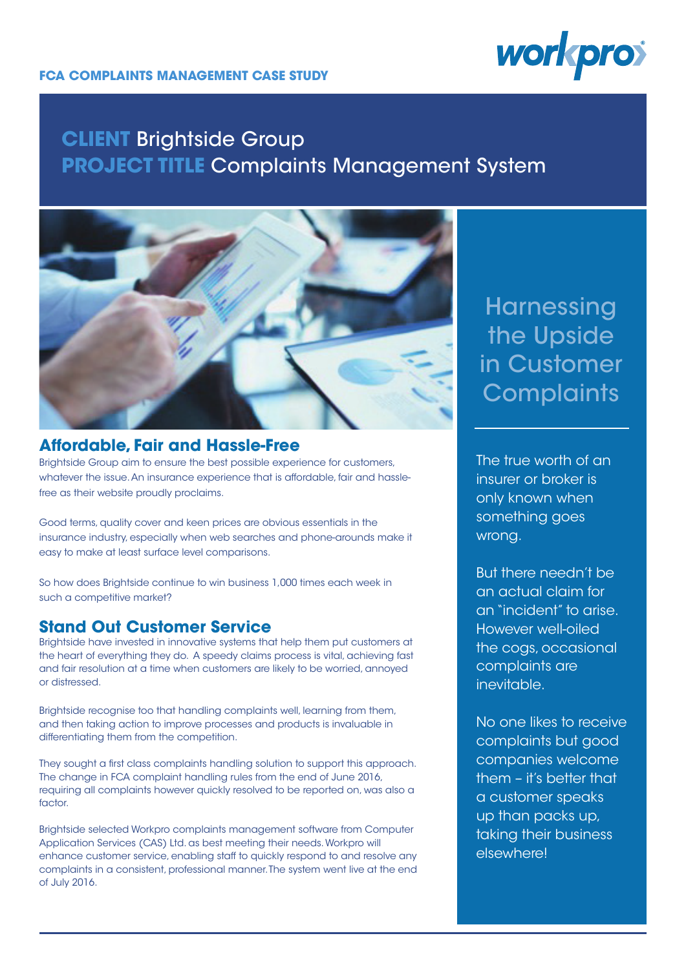# **CLIENT** Brightside Group **PROJECT TITLE** Complaints Management System



#### **Affordable, Fair and Hassle-Free**

Brightside Group aim to ensure the best possible experience for customers, whatever the issue. An insurance experience that is affordable, fair and hasslefree as their website proudly proclaims.

Good terms, quality cover and keen prices are obvious essentials in the insurance industry, especially when web searches and phone-arounds make it easy to make at least surface level comparisons.

So how does Brightside continue to win business 1,000 times each week in such a competitive market?

### **Stand Out Customer Service**

Brightside have invested in innovative systems that help them put customers at the heart of everything they do. A speedy claims process is vital, achieving fast and fair resolution at a time when customers are likely to be worried, annoyed or distressed.

Brightside recognise too that handling complaints well, learning from them, and then taking action to improve processes and products is invaluable in differentiating them from the competition.

They sought a first class complaints handling solution to support this approach. The change in FCA complaint handling rules from the end of June 2016, requiring all complaints however quickly resolved to be reported on, was also a factor.

Brightside selected Workpro complaints management software from Computer Application Services (CAS) Ltd. as best meeting their needs. Workpro will enhance customer service, enabling staff to quickly respond to and resolve any complaints in a consistent, professional manner. The system went live at the end of July 2016.

# **Harnessing** the Upside in Customer **Complaints**

The true worth of an insurer or broker is only known when something goes wrong.

But there needn't be an actual claim for an "incident" to arise. However well-oiled the cogs, occasional complaints are inevitable.

No one likes to receive complaints but good companies welcome them – it's better that a customer speaks up than packs up, taking their business elsewhere!